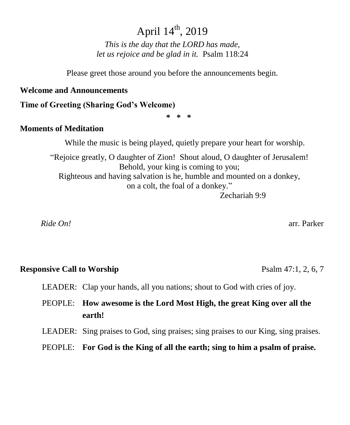# April  $14^{\text{th}}$ , 2019

*This is the day that the LORD has made, let us rejoice and be glad in it.* Psalm 118:24

Please greet those around you before the announcements begin.

#### **Welcome and Announcements**

**Time of Greeting (Sharing God's Welcome)**

**\* \* \***

### **Moments of Meditation**

While the music is being played, quietly prepare your heart for worship.

"Rejoice greatly, O daughter of Zion! Shout aloud, O daughter of Jerusalem! Behold, your king is coming to you; Righteous and having salvation is he, humble and mounted on a donkey, on a colt, the foal of a donkey." Zechariah 9:9

 *Ride On!* arr. Parker

#### **Responsive Call to Worship**  Psalm 47:1, 2, 6, 7

LEADER: Clap your hands, all you nations; shout to God with cries of joy.

PEOPLE: **How awesome is the Lord Most High, the great King over all the earth!**

LEADER: Sing praises to God, sing praises; sing praises to our King, sing praises.

PEOPLE: **For God is the King of all the earth; sing to him a psalm of praise.**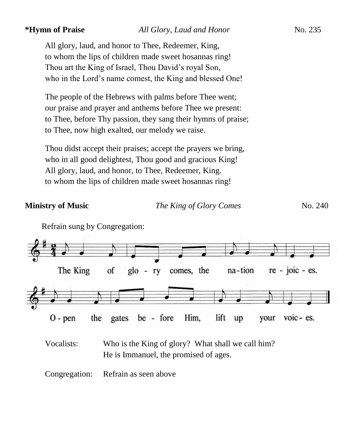All glory, laud, and honor to Thee, Redeemer, King, to whom the lips of children made sweet hosannas ring! Thou art the King of Israel, Thou David's royal Son, who in the Lord's name comest, the King and blessed One!

The people of the Hebrews with palms before Thee went; our praise and prayer and anthems before Thee we present: to Thee, before Thy passion, they sang their hymns of praise; to Thee, now high exalted, our melody we raise.

Thou didst accept their praises; accept the prayers we bring, who in all good delightest, Thou good and gracious King! All glory, laud, and honor, to Thee, Redeemer, King. to whom the lips of children made sweet hosannas ring!

**Ministry of Music** *The King of Glory Comes* No. 240





Vocalists: Who is the King of glory? What shall we call him? He is Immanuel, the promised of ages.

Congregation: Refrain as seen above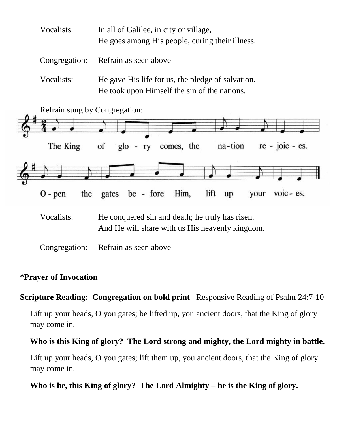| Vocalists: | In all of Galilee, in city or village,<br>He goes among His people, curing their illness.         |
|------------|---------------------------------------------------------------------------------------------------|
|            | Congregation: Refrain as seen above                                                               |
| Vocalists: | He gave His life for us, the pledge of salvation.<br>He took upon Himself the sin of the nations. |



Vocalists: He conquered sin and death; he truly has risen. And He will share with us His heavenly kingdom.

Congregation: Refrain as seen above

## **\*Prayer of Invocation**

## **Scripture Reading: Congregation on bold print** Responsive Reading of Psalm 24:7-10

Lift up your heads, O you gates; be lifted up, you ancient doors, that the King of glory may come in.

### **Who is this King of glory? The Lord strong and mighty, the Lord mighty in battle.**

Lift up your heads, O you gates; lift them up, you ancient doors, that the King of glory may come in.

**Who is he, this King of glory? The Lord Almighty – he is the King of glory.**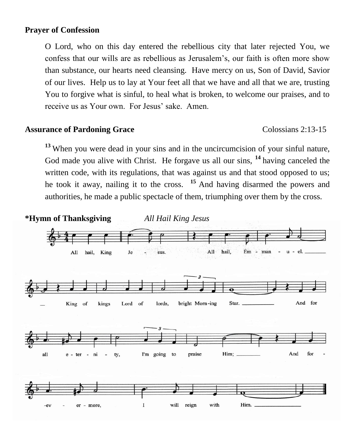#### **Prayer of Confession**

O Lord, who on this day entered the rebellious city that later rejected You, we confess that our wills are as rebellious as Jerusalem's, our faith is often more show than substance, our hearts need cleansing. Have mercy on us, Son of David, Savior of our lives. Help us to lay at Your feet all that we have and all that we are, trusting You to forgive what is sinful, to heal what is broken, to welcome our praises, and to receive us as Your own. For Jesus' sake. Amen.

#### **Assurance of Pardoning Grace** Colossians 2:13-15

**<sup>13</sup>** When you were dead in your sins and in the uncircumcision of your sinful nature, God made you alive with Christ. He forgave us all our sins, **<sup>14</sup>** having canceled the written code, with its regulations, that was against us and that stood opposed to us; he took it away, nailing it to the cross. **<sup>15</sup>** And having disarmed the powers and authorities, he made a public spectacle of them, triumphing over them by the cross.

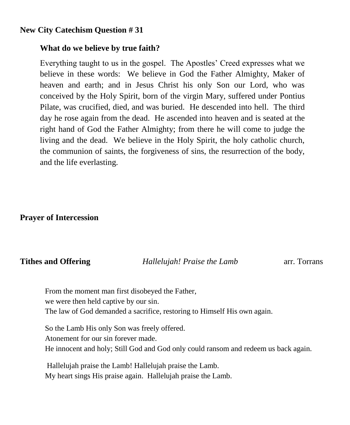### **New City Catechism Question # 31**

#### **What do we believe by true faith?**

Everything taught to us in the gospel. The Apostles' Creed expresses what we believe in these words: We believe in God the Father Almighty, Maker of heaven and earth; and in Jesus Christ his only Son our Lord, who was conceived by the Holy Spirit, born of the virgin Mary, suffered under Pontius Pilate, was crucified, died, and was buried. He descended into hell. The third day he rose again from the dead. He ascended into heaven and is seated at the right hand of God the Father Almighty; from there he will come to judge the living and the dead. We believe in the Holy Spirit, the holy catholic church, the communion of saints, the forgiveness of sins, the resurrection of the body, and the life everlasting.

#### **Prayer of Intercession**

**Tithes and Offering** *Hallelujah! Praise the Lamb* arr. Torrans

From the moment man first disobeyed the Father, we were then held captive by our sin. The law of God demanded a sacrifice, restoring to Himself His own again.

So the Lamb His only Son was freely offered. Atonement for our sin forever made. He innocent and holy; Still God and God only could ransom and redeem us back again.

Hallelujah praise the Lamb! Hallelujah praise the Lamb. My heart sings His praise again. Hallelujah praise the Lamb.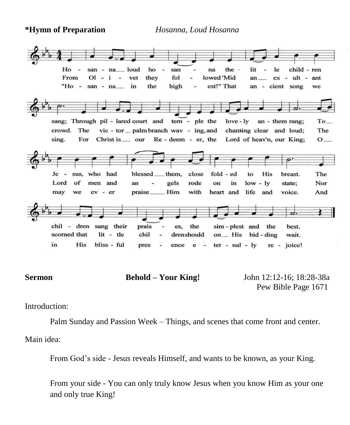**\*Hymn of Preparation** *Hosanna, Loud Hosanna*



**Sermon Behold – Your King!** John 12:12-16; 18:28-38a

Pew Bible Page 1671

Introduction:

Palm Sunday and Passion Week – Things, and scenes that come front and center.

Main idea:

From God's side - Jesus reveals Himself, and wants to be known, as your King.

From your side - You can only truly know Jesus when you know Him as your one and only true King!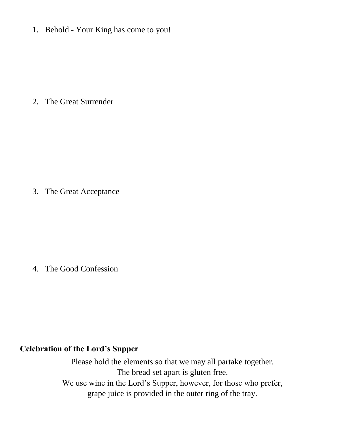1. Behold - Your King has come to you!

2. The Great Surrender

3. The Great Acceptance

4. The Good Confession

### **Celebration of the Lord's Supper**

Please hold the elements so that we may all partake together. The bread set apart is gluten free. We use wine in the Lord's Supper, however, for those who prefer, grape juice is provided in the outer ring of the tray.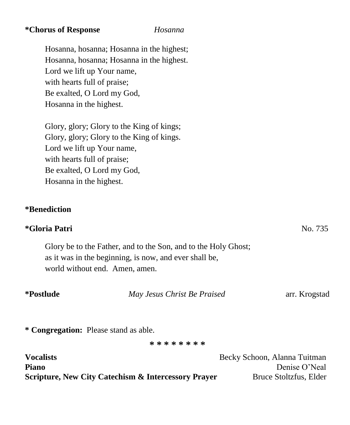#### **\*Chorus of Response** *Hosanna*

Hosanna, hosanna; Hosanna in the highest; Hosanna, hosanna; Hosanna in the highest. Lord we lift up Your name, with hearts full of praise; Be exalted, O Lord my God, Hosanna in the highest.

Glory, glory; Glory to the King of kings; Glory, glory; Glory to the King of kings. Lord we lift up Your name, with hearts full of praise; Be exalted, O Lord my God, Hosanna in the highest.

### **\*Benediction**

## **\*Gloria Patri** No. 735

Glory be to the Father, and to the Son, and to the Holy Ghost; as it was in the beginning, is now, and ever shall be, world without end. Amen, amen.

| *Postlude | May Jesus Christ Be Praised | arr. Krogstad |  |
|-----------|-----------------------------|---------------|--|
|           |                             |               |  |
|           |                             |               |  |

**\* Congregation:** Please stand as able.

**\* \* \* \* \* \* \* \***

| <b>Vocalists</b>                                               | Becky Schoon, Alanna Tuitman |
|----------------------------------------------------------------|------------------------------|
| <b>Piano</b>                                                   | Denise O'Neal                |
| <b>Scripture, New City Catechism &amp; Intercessory Prayer</b> | Bruce Stoltzfus, Elder       |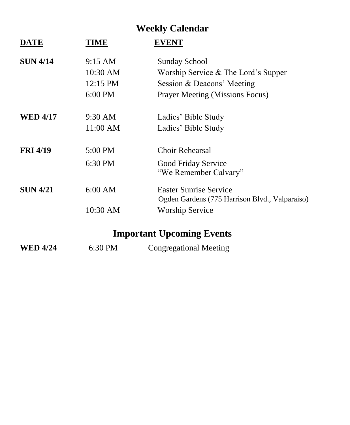# **Weekly Calendar**

| <b>DATE</b>     | TIME              | <b>EVENT</b>                                                                    |
|-----------------|-------------------|---------------------------------------------------------------------------------|
| <b>SUN 4/14</b> | $9:15 \text{ AM}$ | <b>Sunday School</b>                                                            |
|                 | 10:30 AM          | Worship Service & The Lord's Supper                                             |
|                 | 12:15 PM          | Session & Deacons' Meeting                                                      |
|                 | 6:00 PM           | <b>Prayer Meeting (Missions Focus)</b>                                          |
| <b>WED 4/17</b> | 9:30 AM           | Ladies' Bible Study                                                             |
|                 | 11:00 AM          | Ladies' Bible Study                                                             |
| <b>FRI 4/19</b> | 5:00 PM           | Choir Rehearsal                                                                 |
|                 | 6:30 PM           | Good Friday Service<br>"We Remember Calvary"                                    |
| <b>SUN 4/21</b> | 6:00 AM           | <b>Easter Sunrise Service</b><br>Ogden Gardens (775 Harrison Blvd., Valparaiso) |
|                 | 10:30 AM          | <b>Worship Service</b>                                                          |

# **Important Upcoming Events**

| <b>WED 4/24</b> | 6:30 PM | <b>Congregational Meeting</b> |  |
|-----------------|---------|-------------------------------|--|
|-----------------|---------|-------------------------------|--|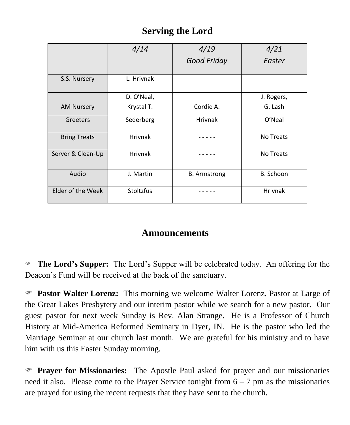# **Serving the Lord**

|                     | 4/14             | 4/19                | 4/21           |
|---------------------|------------------|---------------------|----------------|
|                     |                  | <b>Good Friday</b>  | Easter         |
| S.S. Nursery        | L. Hrivnak       |                     |                |
|                     |                  |                     |                |
|                     | D. O'Neal,       |                     | J. Rogers,     |
| <b>AM Nursery</b>   | Krystal T.       | Cordie A.           | G. Lash        |
| Greeters            | Sederberg        | <b>Hrivnak</b>      | O'Neal         |
| <b>Bring Treats</b> | <b>Hrivnak</b>   |                     | No Treats      |
| Server & Clean-Up   | <b>Hrivnak</b>   |                     | No Treats      |
| Audio               | J. Martin        | <b>B.</b> Armstrong | B. Schoon      |
| Elder of the Week   | <b>Stoltzfus</b> |                     | <b>Hrivnak</b> |

# **Announcements**

 **The Lord's Supper:** The Lord's Supper will be celebrated today. An offering for the Deacon's Fund will be received at the back of the sanctuary.

 **Pastor Walter Lorenz:** This morning we welcome Walter Lorenz, Pastor at Large of the Great Lakes Presbytery and our interim pastor while we search for a new pastor. Our guest pastor for next week Sunday is Rev. Alan Strange. He is a Professor of Church History at Mid-America Reformed Seminary in Dyer, IN. He is the pastor who led the Marriage Seminar at our church last month. We are grateful for his ministry and to have him with us this Easter Sunday morning.

 **Prayer for Missionaries:** The Apostle Paul asked for prayer and our missionaries need it also. Please come to the Prayer Service tonight from  $6 - 7$  pm as the missionaries are prayed for using the recent requests that they have sent to the church.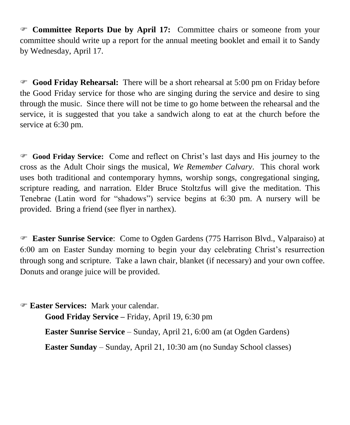**Committee Reports Due by April 17:** Committee chairs or someone from your committee should write up a report for the annual meeting booklet and email it to Sandy by Wednesday, April 17.

 **Good Friday Rehearsal:** There will be a short rehearsal at 5:00 pm on Friday before the Good Friday service for those who are singing during the service and desire to sing through the music. Since there will not be time to go home between the rehearsal and the service, it is suggested that you take a sandwich along to eat at the church before the service at 6:30 pm.

 **Good Friday Service:** Come and reflect on Christ's last days and His journey to the cross as the Adult Choir sings the musical, *We Remember Calvary*. This choral work uses both traditional and contemporary hymns, worship songs, congregational singing, scripture reading, and narration. Elder Bruce Stoltzfus will give the meditation. This Tenebrae (Latin word for "shadows") service begins at 6:30 pm. A nursery will be provided. Bring a friend (see flyer in narthex).

 **Easter Sunrise Service**: Come to Ogden Gardens (775 Harrison Blvd., Valparaiso) at 6:00 am on Easter Sunday morning to begin your day celebrating Christ's resurrection through song and scripture. Take a lawn chair, blanket (if necessary) and your own coffee. Donuts and orange juice will be provided.

 **Easter Services:** Mark your calendar. **Good Friday Service –** Friday, April 19, 6:30 pm **Easter Sunrise Service** – Sunday, April 21, 6:00 am (at Ogden Gardens) **Easter Sunday** – Sunday, April 21, 10:30 am (no Sunday School classes)